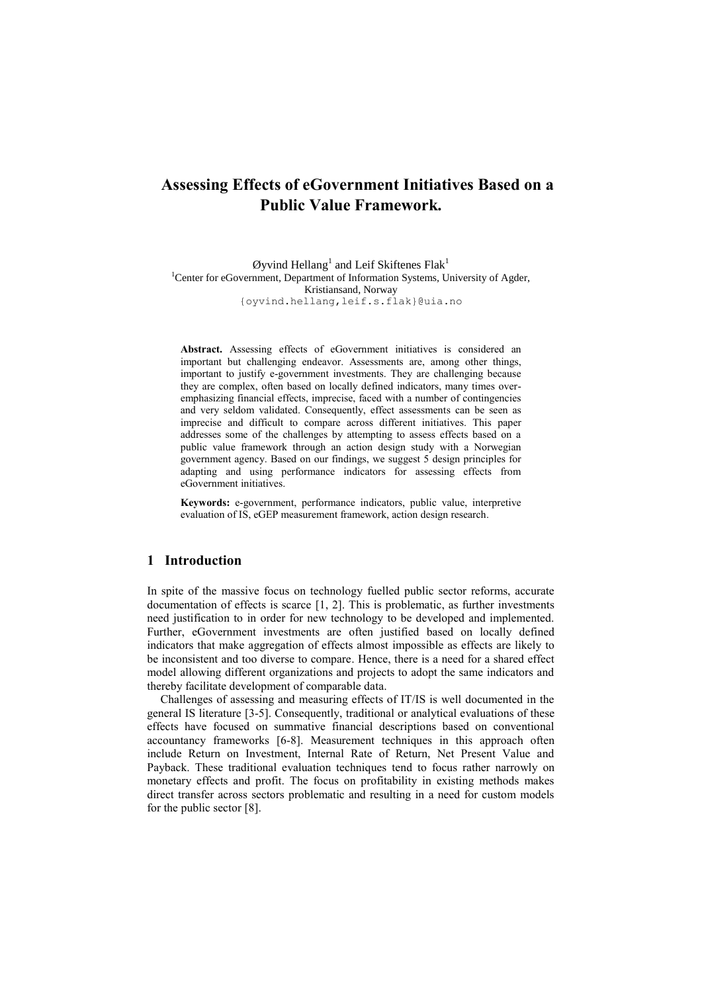# **Assessing Effects of eGovernment Initiatives Based on a Public Value Framework.**

Øyvind Hellang<sup>1</sup> and Leif Skiftenes Flak<sup>1</sup> <sup>1</sup>Center for eGovernment, Department of Information Systems, University of Agder, Kristiansand, Norway {oyvind.hellang,leif.s.flak}@uia.no

**Abstract.** Assessing effects of eGovernment initiatives is considered an important but challenging endeavor. Assessments are, among other things, important to justify e-government investments. They are challenging because they are complex, often based on locally defined indicators, many times overemphasizing financial effects, imprecise, faced with a number of contingencies and very seldom validated. Consequently, effect assessments can be seen as imprecise and difficult to compare across different initiatives. This paper addresses some of the challenges by attempting to assess effects based on a public value framework through an action design study with a Norwegian government agency. Based on our findings, we suggest 5 design principles for adapting and using performance indicators for assessing effects from eGovernment initiatives.

**Keywords:** e-government, performance indicators, public value, interpretive evaluation of IS, eGEP measurement framework, action design research.

## **1 Introduction**

In spite of the massive focus on technology fuelled public sector reforms, accurate documentation of effects is scarce [\[1,](#page-12-0) [2\]](#page-12-1). This is problematic, as further investments need justification to in order for new technology to be developed and implemented. Further, eGovernment investments are often justified based on locally defined indicators that make aggregation of effects almost impossible as effects are likely to be inconsistent and too diverse to compare. Hence, there is a need for a shared effect model allowing different organizations and projects to adopt the same indicators and thereby facilitate development of comparable data.

Challenges of assessing and measuring effects of IT/IS is well documented in the general IS literature [\[3-5\]](#page-12-2). Consequently, traditional or analytical evaluations of these effects have focused on summative financial descriptions based on conventional accountancy frameworks [\[6-8\]](#page-12-3). Measurement techniques in this approach often include Return on Investment, Internal Rate of Return, Net Present Value and Payback. These traditional evaluation techniques tend to focus rather narrowly on monetary effects and profit. The focus on profitability in existing methods makes direct transfer across sectors problematic and resulting in a need for custom models for the public sector [\[8\]](#page-12-4).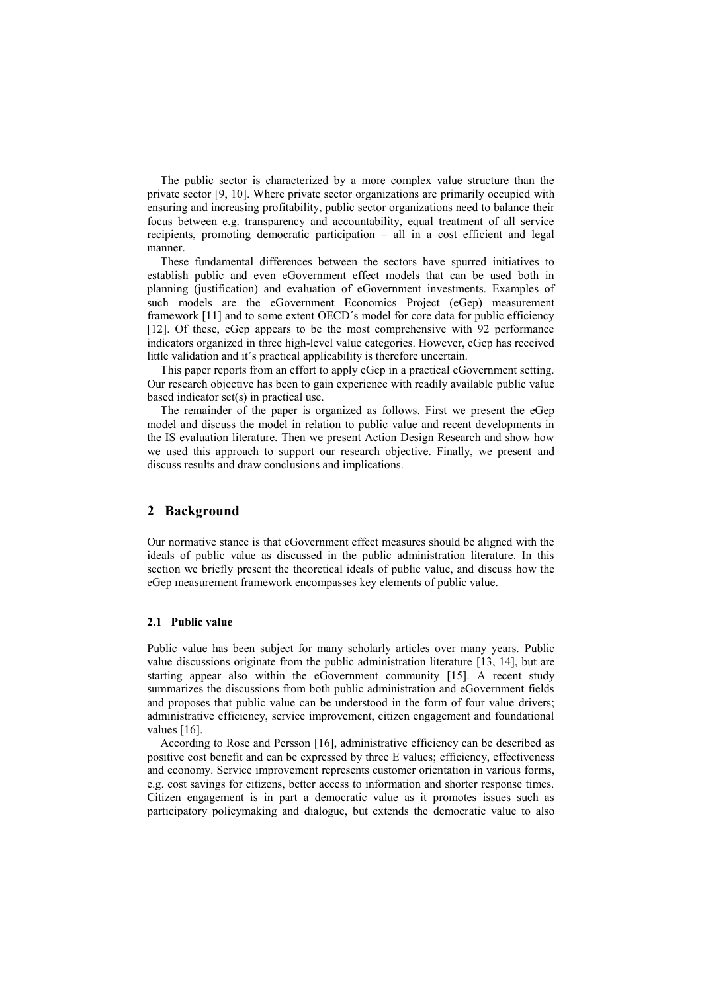The public sector is characterized by a more complex value structure than the private sector [\[9,](#page-12-5) [10\]](#page-12-6). Where private sector organizations are primarily occupied with ensuring and increasing profitability, public sector organizations need to balance their focus between e.g. transparency and accountability, equal treatment of all service recipients, promoting democratic participation – all in a cost efficient and legal manner.

These fundamental differences between the sectors have spurred initiatives to establish public and even eGovernment effect models that can be used both in planning (justification) and evaluation of eGovernment investments. Examples of such models are the eGovernment Economics Project (eGep) measurement framework [\[11\]](#page-12-7) and to some extent OECD´s model for core data for public efficiency [\[12\]](#page-12-8). Of these, eGep appears to be the most comprehensive with 92 performance indicators organized in three high-level value categories. However, eGep has received little validation and it´s practical applicability is therefore uncertain.

This paper reports from an effort to apply eGep in a practical eGovernment setting. Our research objective has been to gain experience with readily available public value based indicator set(s) in practical use.

The remainder of the paper is organized as follows. First we present the eGep model and discuss the model in relation to public value and recent developments in the IS evaluation literature. Then we present Action Design Research and show how we used this approach to support our research objective. Finally, we present and discuss results and draw conclusions and implications.

# **2 Background**

Our normative stance is that eGovernment effect measures should be aligned with the ideals of public value as discussed in the public administration literature. In this section we briefly present the theoretical ideals of public value, and discuss how the eGep measurement framework encompasses key elements of public value.

### **2.1 Public value**

Public value has been subject for many scholarly articles over many years. Public value discussions originate from the public administration literature [\[13,](#page-13-0) [14\]](#page-13-1), but are starting appear also within the eGovernment community [\[15\]](#page-13-2). A recent study summarizes the discussions from both public administration and eGovernment fields and proposes that public value can be understood in the form of four value drivers; administrative efficiency, service improvement, citizen engagement and foundational values [\[16\]](#page-13-3).

According to Rose and Persson [\[16\]](#page-13-3), administrative efficiency can be described as positive cost benefit and can be expressed by three E values; efficiency, effectiveness and economy. Service improvement represents customer orientation in various forms, e.g. cost savings for citizens, better access to information and shorter response times. Citizen engagement is in part a democratic value as it promotes issues such as participatory policymaking and dialogue, but extends the democratic value to also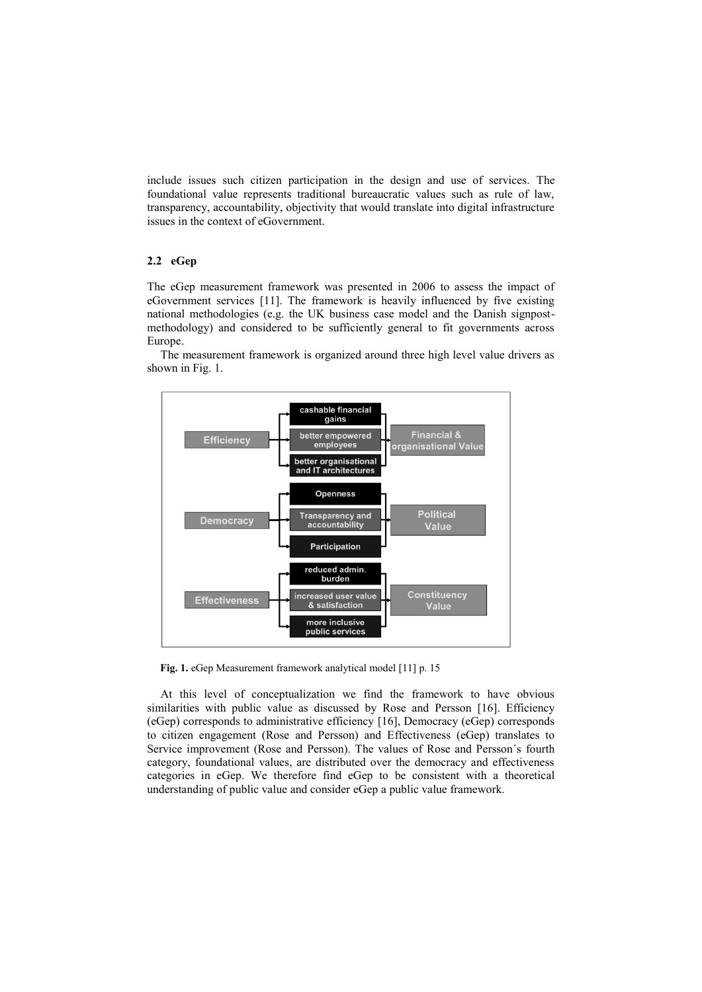include issues such citizen participation in the design and use of services. The foundational value represents traditional bureaucratic values such as rule of law, transparency, accountability, objectivity that would translate into digital infrastructure issues in the context of eGovernment.

### **2.2 eGep**

The eGep measurement framework was presented in 2006 to assess the impact of eGovernment services [\[11\]](#page-12-7). The framework is heavily influenced by five existing national methodologies (e.g. the UK business case model and the Danish signpostmethodology) and considered to be sufficiently general to fit governments across Europe.

The measurement framework is organized around three high level value drivers as shown in Fig. 1.



**Fig. 1.** eGep Measurement framework analytical model [\[11\]](#page-12-7) p. 15

At this level of conceptualization we find the framework to have obvious similarities with public value as discussed by Rose and Persson [\[16\]](#page-13-3). Efficiency (eGep) corresponds to administrative efficiency [\[16\]](#page-13-3), Democracy (eGep) corresponds to citizen engagement (Rose and Persson) and Effectiveness (eGep) translates to Service improvement (Rose and Persson). The values of Rose and Persson´s fourth category, foundational values, are distributed over the democracy and effectiveness categories in eGep. We therefore find eGep to be consistent with a theoretical understanding of public value and consider eGep a public value framework.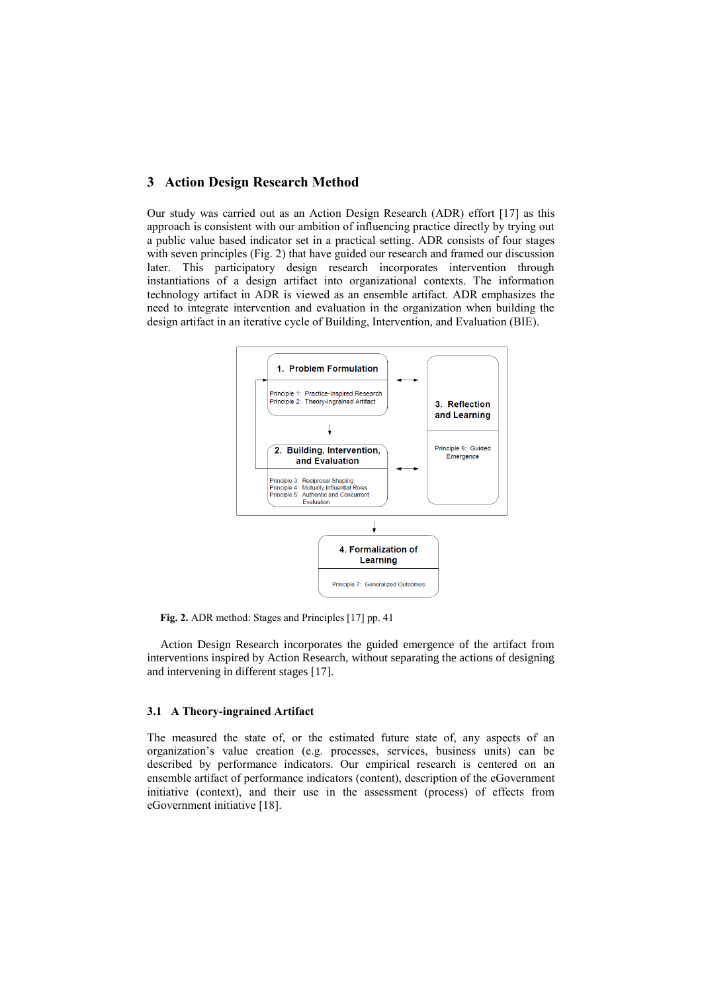### **3 Action Design Research Method**

Our study was carried out as an Action Design Research (ADR) effort [\[17\]](#page-13-4) as this approach is consistent with our ambition of influencing practice directly by trying out a public value based indicator set in a practical setting. ADR consists of four stages with seven principles (Fig. 2) that have guided our research and framed our discussion later. This participatory design research incorporates intervention through instantiations of a design artifact into organizational contexts. The information technology artifact in ADR is viewed as an ensemble artifact. ADR emphasizes the need to integrate intervention and evaluation in the organization when building the design artifact in an iterative cycle of Building, Intervention, and Evaluation (BIE).



**Fig. 2.** ADR method: Stages and Principles [\[17\]](#page-13-4) pp. 41

Action Design Research incorporates the guided emergence of the artifact from interventions inspired by Action Research, without separating the actions of designing and intervening in different stages [\[17\]](#page-13-4).

### **3.1 A Theory-ingrained Artifact**

The measured the state of, or the estimated future state of, any aspects of an organization's value creation (e.g. processes, services, business units) can be described by performance indicators. Our empirical research is centered on an ensemble artifact of performance indicators (content), description of the eGovernment initiative (context), and their use in the assessment (process) of effects from eGovernment initiative [\[18\]](#page-13-5).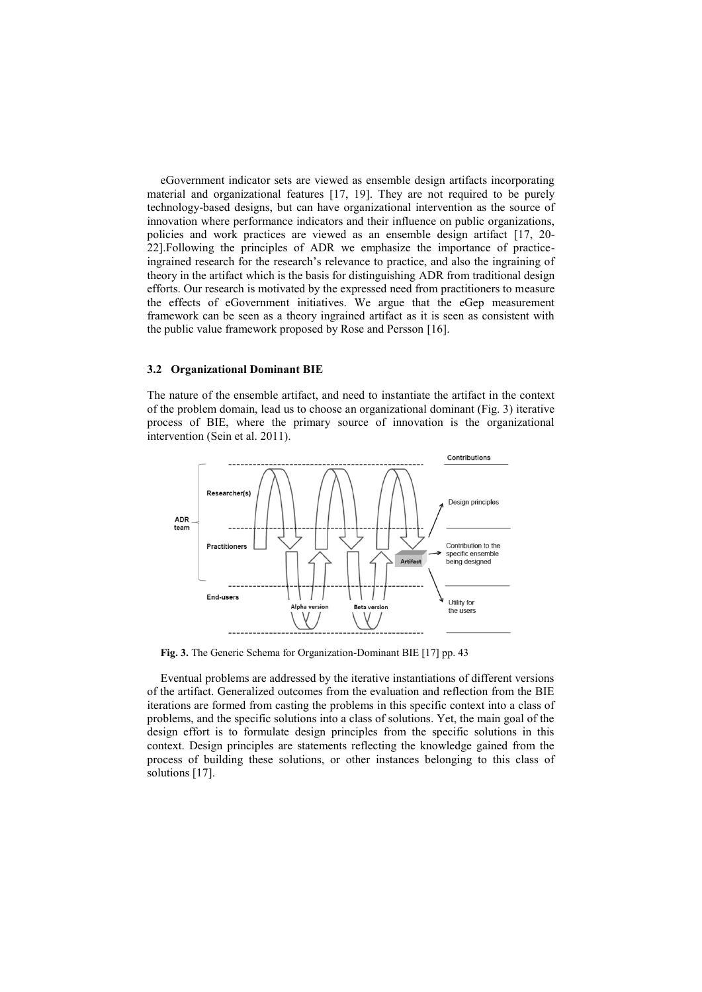eGovernment indicator sets are viewed as ensemble design artifacts incorporating material and organizational features [\[17,](#page-13-4) [19\]](#page-13-6). They are not required to be purely technology-based designs, but can have organizational intervention as the source of innovation where performance indicators and their influence on public organizations, policies and work practices are viewed as an ensemble design artifact [\[17,](#page-13-4) [20-](#page-13-7) [22\]](#page-13-7).Following the principles of ADR we emphasize the importance of practiceingrained research for the research's relevance to practice, and also the ingraining of theory in the artifact which is the basis for distinguishing ADR from traditional design efforts. Our research is motivated by the expressed need from practitioners to measure the effects of eGovernment initiatives. We argue that the eGep measurement framework can be seen as a theory ingrained artifact as it is seen as consistent with the public value framework proposed by Rose and Persson [\[16\]](#page-13-3).

#### **3.2 Organizational Dominant BIE**

The nature of the ensemble artifact, and need to instantiate the artifact in the context of the problem domain, lead us to choose an organizational dominant (Fig. 3) iterative process of BIE, where the primary source of innovation is the organizational intervention (Sein et al. 2011).



**Fig. 3.** The Generic Schema for Organization-Dominant BIE [\[17\]](#page-13-4) pp. 43

Eventual problems are addressed by the iterative instantiations of different versions of the artifact. Generalized outcomes from the evaluation and reflection from the BIE iterations are formed from casting the problems in this specific context into a class of problems, and the specific solutions into a class of solutions. Yet, the main goal of the design effort is to formulate design principles from the specific solutions in this context. Design principles are statements reflecting the knowledge gained from the process of building these solutions, or other instances belonging to this class of solutions [\[17\]](#page-13-4).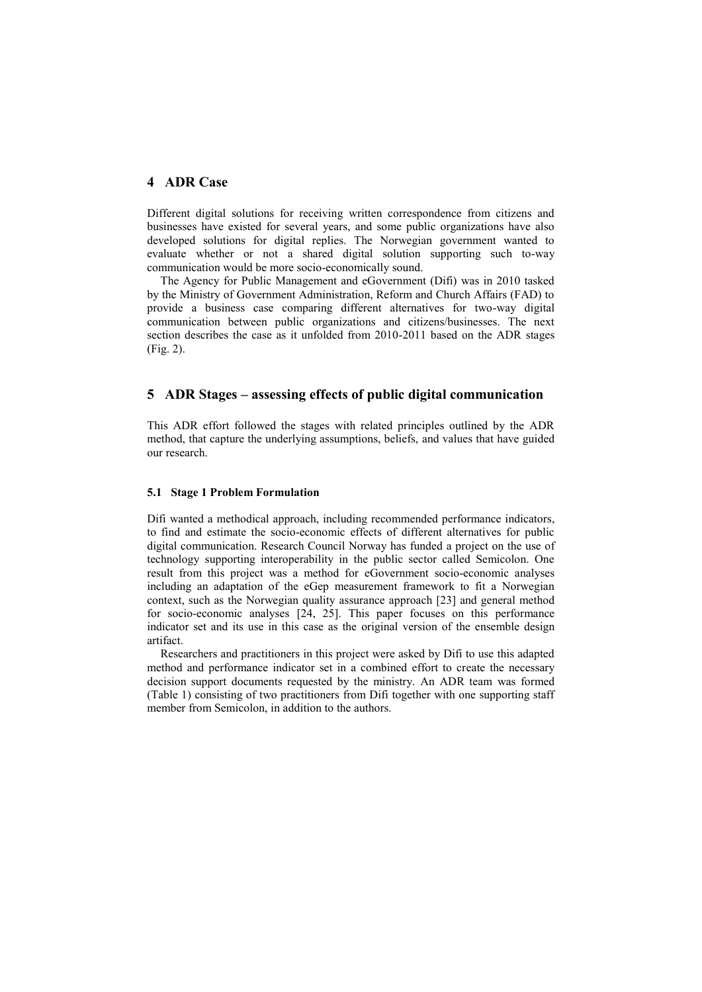### **4 ADR Case**

Different digital solutions for receiving written correspondence from citizens and businesses have existed for several years, and some public organizations have also developed solutions for digital replies. The Norwegian government wanted to evaluate whether or not a shared digital solution supporting such to-way communication would be more socio-economically sound.

The Agency for Public Management and eGovernment (Difi) was in 2010 tasked by the Ministry of Government Administration, Reform and Church Affairs (FAD) to provide a business case comparing different alternatives for two-way digital communication between public organizations and citizens/businesses. The next section describes the case as it unfolded from 2010-2011 based on the ADR stages (Fig. 2).

## **5 ADR Stages – assessing effects of public digital communication**

This ADR effort followed the stages with related principles outlined by the ADR method, that capture the underlying assumptions, beliefs, and values that have guided our research.

#### **5.1 Stage 1 Problem Formulation**

Difi wanted a methodical approach, including recommended performance indicators, to find and estimate the socio-economic effects of different alternatives for public digital communication. Research Council Norway has funded a project on the use of technology supporting interoperability in the public sector called Semicolon. One result from this project was a method for eGovernment socio-economic analyses including an adaptation of the eGep measurement framework to fit a Norwegian context, such as the Norwegian quality assurance approach [\[23\]](#page-13-8) and general method for socio-economic analyses [\[24,](#page-13-9) [25\]](#page-13-10). This paper focuses on this performance indicator set and its use in this case as the original version of the ensemble design artifact.

Researchers and practitioners in this project were asked by Difi to use this adapted method and performance indicator set in a combined effort to create the necessary decision support documents requested by the ministry. An ADR team was formed (Table 1) consisting of two practitioners from Difi together with one supporting staff member from Semicolon, in addition to the authors.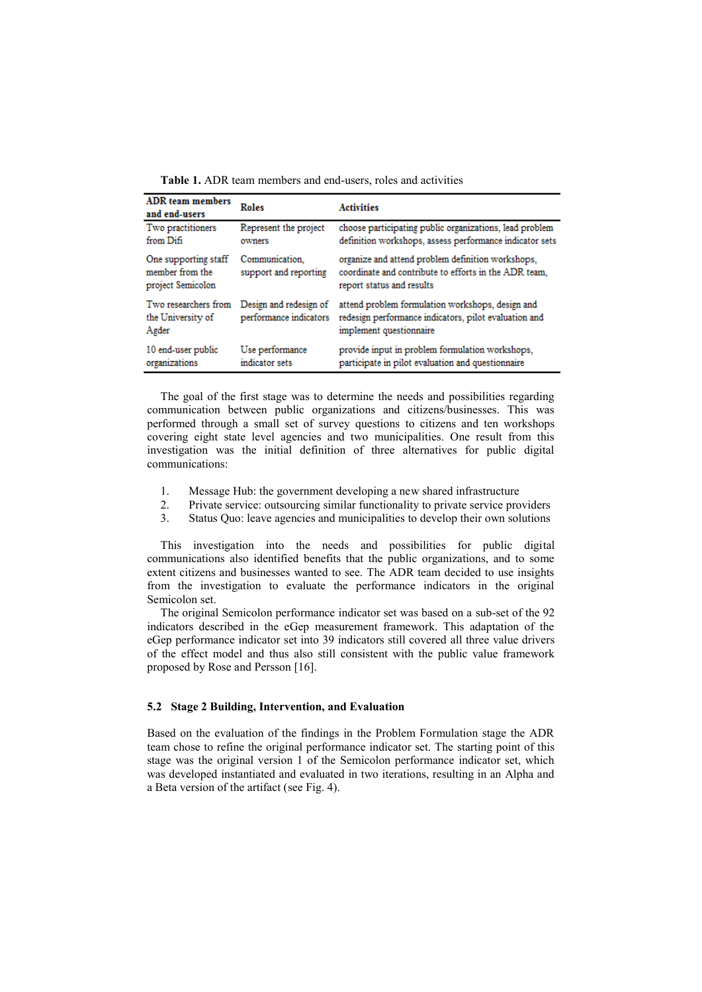**Table 1.** ADR team members and end-users, roles and activities

| <b>ADR</b> team members<br>and end-users                     | <b>Roles</b>                                     | <b>Activities</b>                                                                                                                       |
|--------------------------------------------------------------|--------------------------------------------------|-----------------------------------------------------------------------------------------------------------------------------------------|
| Two practitioners<br>from Difi                               | Represent the project<br>owners                  | choose participating public organizations, lead problem<br>definition workshops, assess performance indicator sets                      |
| One supporting staff<br>member from the<br>project Semicolon | Communication.<br>support and reporting          | organize and attend problem definition workshops,<br>coordinate and contribute to efforts in the ADR team,<br>report status and results |
| Two researchers from<br>the University of<br>Agder           | Design and redesign of<br>performance indicators | attend problem formulation workshops, design and<br>redesign performance indicators, pilot evaluation and<br>implement questionnaire    |
| 10 end-user public<br>organizations                          | Use performance<br>indicator sets                | provide input in problem formulation workshops,<br>participate in pilot evaluation and questionnaire                                    |

The goal of the first stage was to determine the needs and possibilities regarding communication between public organizations and citizens/businesses. This was performed through a small set of survey questions to citizens and ten workshops covering eight state level agencies and two municipalities. One result from this investigation was the initial definition of three alternatives for public digital communications:

- 1. Message Hub: the government developing a new shared infrastructure
- 2. Private service: outsourcing similar functionality to private service providers
- 3. Status Quo: leave agencies and municipalities to develop their own solutions

This investigation into the needs and possibilities for public digital communications also identified benefits that the public organizations, and to some extent citizens and businesses wanted to see. The ADR team decided to use insights from the investigation to evaluate the performance indicators in the original Semicolon set.

The original Semicolon performance indicator set was based on a sub-set of the 92 indicators described in the eGep measurement framework. This adaptation of the eGep performance indicator set into 39 indicators still covered all three value drivers of the effect model and thus also still consistent with the public value framework proposed by Rose and Persson [\[16\]](#page-13-3).

### **5.2 Stage 2 Building, Intervention, and Evaluation**

Based on the evaluation of the findings in the Problem Formulation stage the ADR team chose to refine the original performance indicator set. The starting point of this stage was the original version 1 of the Semicolon performance indicator set, which was developed instantiated and evaluated in two iterations, resulting in an Alpha and a Beta version of the artifact (see Fig. 4).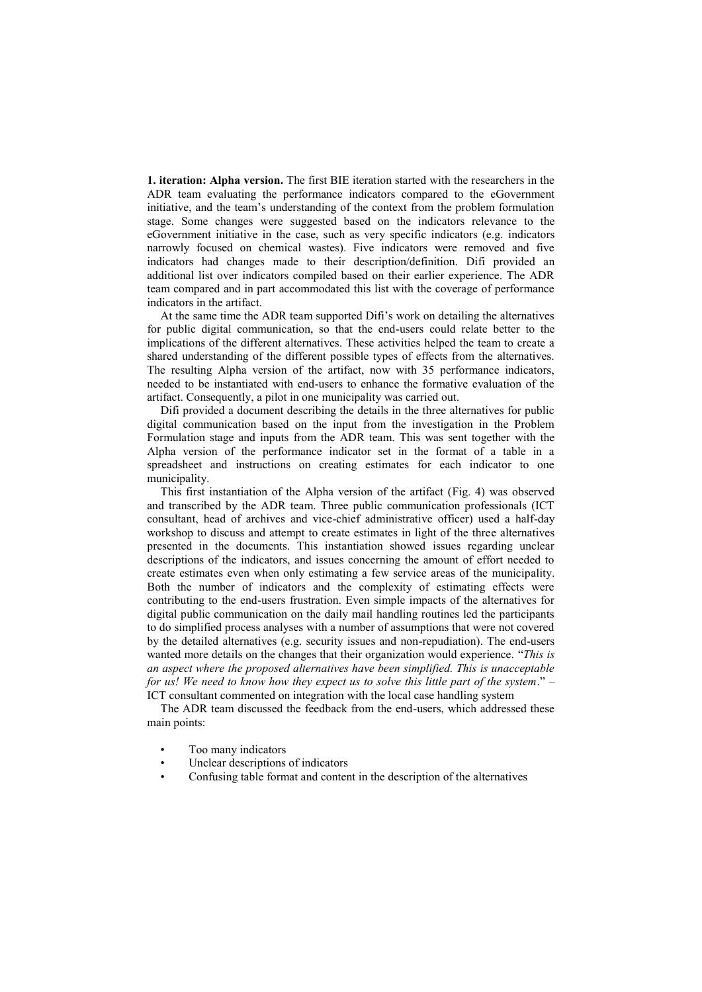**1. iteration: Alpha version.** The first BIE iteration started with the researchers in the ADR team evaluating the performance indicators compared to the eGovernment initiative, and the team's understanding of the context from the problem formulation stage. Some changes were suggested based on the indicators relevance to the eGovernment initiative in the case, such as very specific indicators (e.g. indicators narrowly focused on chemical wastes). Five indicators were removed and five indicators had changes made to their description/definition. Difi provided an additional list over indicators compiled based on their earlier experience. The ADR team compared and in part accommodated this list with the coverage of performance indicators in the artifact.

At the same time the ADR team supported Difi's work on detailing the alternatives for public digital communication, so that the end-users could relate better to the implications of the different alternatives. These activities helped the team to create a shared understanding of the different possible types of effects from the alternatives. The resulting Alpha version of the artifact, now with 35 performance indicators, needed to be instantiated with end-users to enhance the formative evaluation of the artifact. Consequently, a pilot in one municipality was carried out.

Difi provided a document describing the details in the three alternatives for public digital communication based on the input from the investigation in the Problem Formulation stage and inputs from the ADR team. This was sent together with the Alpha version of the performance indicator set in the format of a table in a spreadsheet and instructions on creating estimates for each indicator to one municipality.

This first instantiation of the Alpha version of the artifact (Fig. 4) was observed and transcribed by the ADR team. Three public communication professionals (ICT consultant, head of archives and vice-chief administrative officer) used a half-day workshop to discuss and attempt to create estimates in light of the three alternatives presented in the documents. This instantiation showed issues regarding unclear descriptions of the indicators, and issues concerning the amount of effort needed to create estimates even when only estimating a few service areas of the municipality. Both the number of indicators and the complexity of estimating effects were contributing to the end-users frustration. Even simple impacts of the alternatives for digital public communication on the daily mail handling routines led the participants to do simplified process analyses with a number of assumptions that were not covered by the detailed alternatives (e.g. security issues and non-repudiation). The end-users wanted more details on the changes that their organization would experience. "*This is an aspect where the proposed alternatives have been simplified. This is unacceptable for us! We need to know how they expect us to solve this little part of the system*." – ICT consultant commented on integration with the local case handling system

The ADR team discussed the feedback from the end-users, which addressed these main points:

- Too many indicators
- Unclear descriptions of indicators
- Confusing table format and content in the description of the alternatives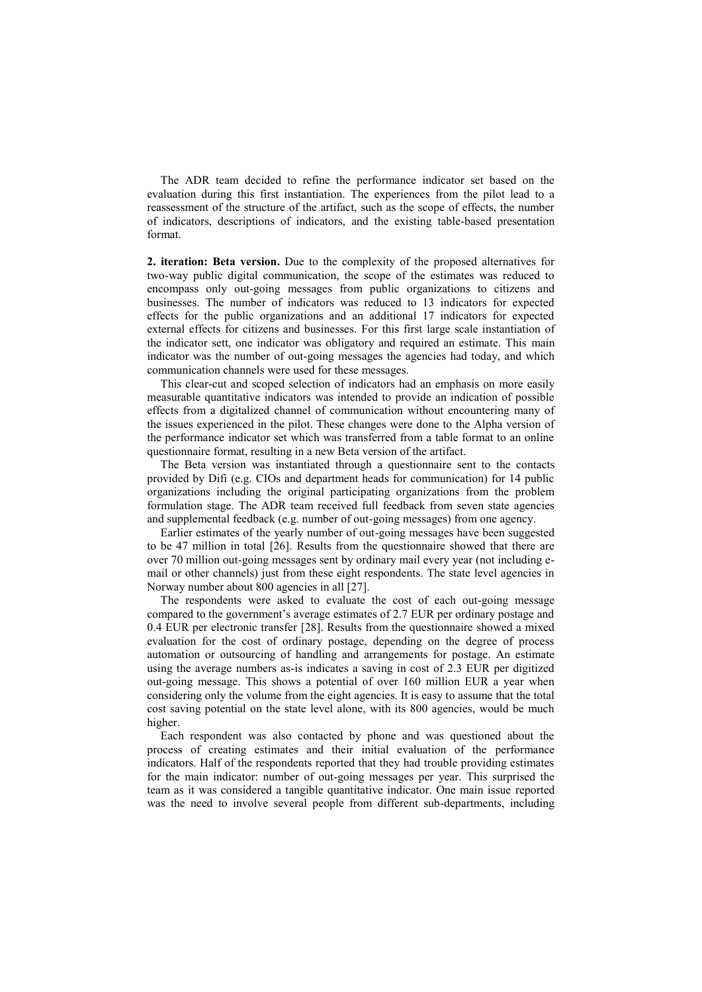The ADR team decided to refine the performance indicator set based on the evaluation during this first instantiation. The experiences from the pilot lead to a reassessment of the structure of the artifact, such as the scope of effects, the number of indicators, descriptions of indicators, and the existing table-based presentation format.

**2. iteration: Beta version.** Due to the complexity of the proposed alternatives for two-way public digital communication, the scope of the estimates was reduced to encompass only out-going messages from public organizations to citizens and businesses. The number of indicators was reduced to 13 indicators for expected effects for the public organizations and an additional 17 indicators for expected external effects for citizens and businesses. For this first large scale instantiation of the indicator sett, one indicator was obligatory and required an estimate. This main indicator was the number of out-going messages the agencies had today, and which communication channels were used for these messages.

This clear-cut and scoped selection of indicators had an emphasis on more easily measurable quantitative indicators was intended to provide an indication of possible effects from a digitalized channel of communication without encountering many of the issues experienced in the pilot. These changes were done to the Alpha version of the performance indicator set which was transferred from a table format to an online questionnaire format, resulting in a new Beta version of the artifact.

The Beta version was instantiated through a questionnaire sent to the contacts provided by Difi (e.g. CIOs and department heads for communication) for 14 public organizations including the original participating organizations from the problem formulation stage. The ADR team received full feedback from seven state agencies and supplemental feedback (e.g. number of out-going messages) from one agency.

Earlier estimates of the yearly number of out-going messages have been suggested to be 47 million in total [\[26\]](#page-13-11). Results from the questionnaire showed that there are over 70 million out-going messages sent by ordinary mail every year (not including email or other channels) just from these eight respondents. The state level agencies in Norway number about 800 agencies in all [\[27\]](#page-13-12).

The respondents were asked to evaluate the cost of each out-going message compared to the government's average estimates of 2.7 EUR per ordinary postage and 0.4 EUR per electronic transfer [\[28\]](#page-13-13). Results from the questionnaire showed a mixed evaluation for the cost of ordinary postage, depending on the degree of process automation or outsourcing of handling and arrangements for postage. An estimate using the average numbers as-is indicates a saving in cost of 2.3 EUR per digitized out-going message. This shows a potential of over 160 million EUR a year when considering only the volume from the eight agencies. It is easy to assume that the total cost saving potential on the state level alone, with its 800 agencies, would be much higher.

Each respondent was also contacted by phone and was questioned about the process of creating estimates and their initial evaluation of the performance indicators. Half of the respondents reported that they had trouble providing estimates for the main indicator: number of out-going messages per year. This surprised the team as it was considered a tangible quantitative indicator. One main issue reported was the need to involve several people from different sub-departments, including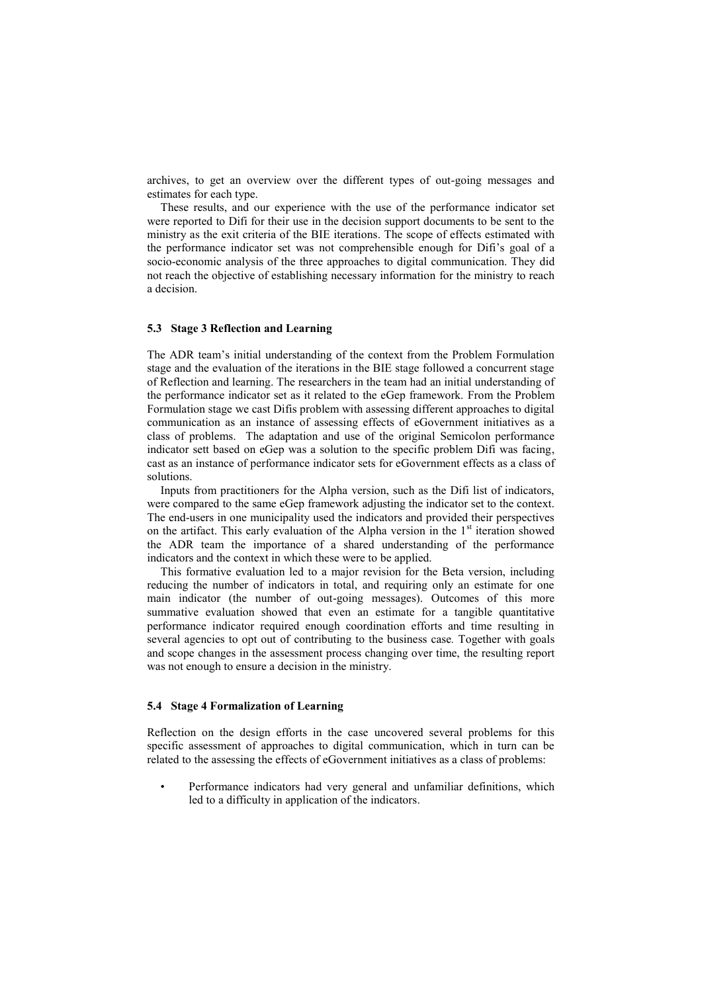archives, to get an overview over the different types of out-going messages and estimates for each type.

These results, and our experience with the use of the performance indicator set were reported to Difi for their use in the decision support documents to be sent to the ministry as the exit criteria of the BIE iterations. The scope of effects estimated with the performance indicator set was not comprehensible enough for Difi's goal of a socio-economic analysis of the three approaches to digital communication. They did not reach the objective of establishing necessary information for the ministry to reach a decision.

### **5.3 Stage 3 Reflection and Learning**

The ADR team's initial understanding of the context from the Problem Formulation stage and the evaluation of the iterations in the BIE stage followed a concurrent stage of Reflection and learning. The researchers in the team had an initial understanding of the performance indicator set as it related to the eGep framework. From the Problem Formulation stage we cast Difis problem with assessing different approaches to digital communication as an instance of assessing effects of eGovernment initiatives as a class of problems. The adaptation and use of the original Semicolon performance indicator sett based on eGep was a solution to the specific problem Difi was facing, cast as an instance of performance indicator sets for eGovernment effects as a class of solutions.

Inputs from practitioners for the Alpha version, such as the Difi list of indicators, were compared to the same eGep framework adjusting the indicator set to the context. The end-users in one municipality used the indicators and provided their perspectives on the artifact. This early evaluation of the Alpha version in the  $1<sup>st</sup>$  iteration showed the ADR team the importance of a shared understanding of the performance indicators and the context in which these were to be applied.

This formative evaluation led to a major revision for the Beta version, including reducing the number of indicators in total, and requiring only an estimate for one main indicator (the number of out-going messages). Outcomes of this more summative evaluation showed that even an estimate for a tangible quantitative performance indicator required enough coordination efforts and time resulting in several agencies to opt out of contributing to the business case*.* Together with goals and scope changes in the assessment process changing over time, the resulting report was not enough to ensure a decision in the ministry.

### **5.4 Stage 4 Formalization of Learning**

Reflection on the design efforts in the case uncovered several problems for this specific assessment of approaches to digital communication, which in turn can be related to the assessing the effects of eGovernment initiatives as a class of problems:

• Performance indicators had very general and unfamiliar definitions, which led to a difficulty in application of the indicators.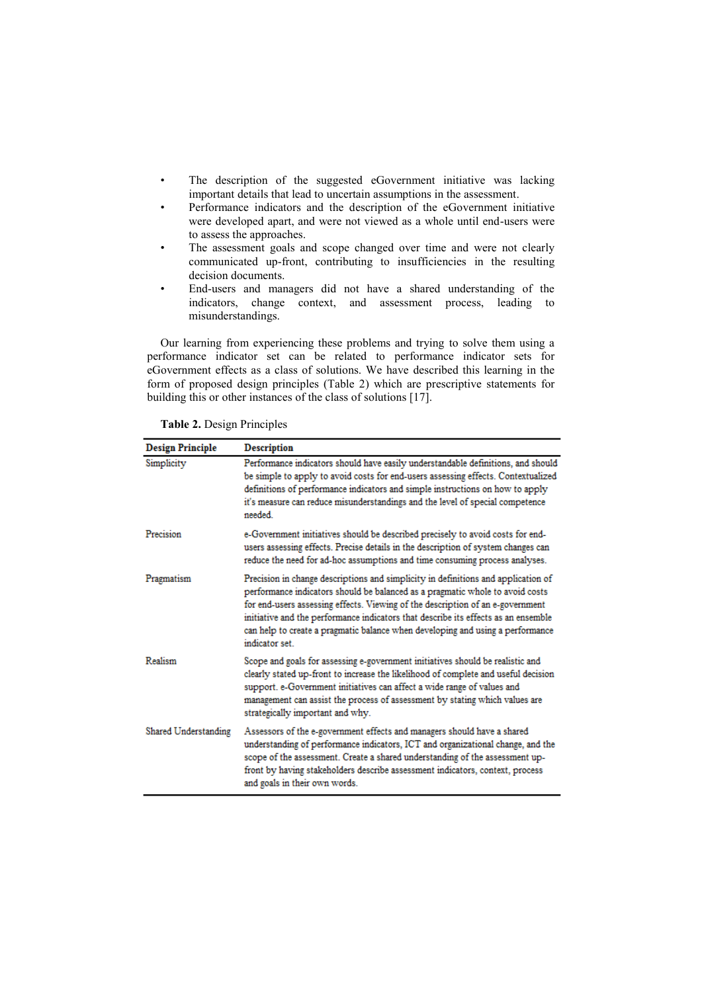- The description of the suggested eGovernment initiative was lacking important details that lead to uncertain assumptions in the assessment.
- Performance indicators and the description of the eGovernment initiative were developed apart, and were not viewed as a whole until end-users were to assess the approaches.
- The assessment goals and scope changed over time and were not clearly communicated up-front, contributing to insufficiencies in the resulting decision documents.
- End-users and managers did not have a shared understanding of the indicators, change context, and assessment process, leading to misunderstandings.

Our learning from experiencing these problems and trying to solve them using a performance indicator set can be related to performance indicator sets for eGovernment effects as a class of solutions. We have described this learning in the form of proposed design principles (Table 2) which are prescriptive statements for building this or other instances of the class of solutions [\[17\]](#page-13-4).

| <b>Design Principle</b> | <b>Description</b>                                                                                                                                                                                                                                                                                                                                                                                                                            |  |
|-------------------------|-----------------------------------------------------------------------------------------------------------------------------------------------------------------------------------------------------------------------------------------------------------------------------------------------------------------------------------------------------------------------------------------------------------------------------------------------|--|
| Simplicity              | Performance indicators should have easily understandable definitions, and should<br>be simple to apply to avoid costs for end-users assessing effects. Contextualized<br>definitions of performance indicators and simple instructions on how to apply<br>it's measure can reduce misunderstandings and the level of special competence<br>needed                                                                                             |  |
| Precision               | e-Government initiatives should be described precisely to avoid costs for end-<br>users assessing effects. Precise details in the description of system changes can<br>reduce the need for ad-hoc assumptions and time consuming process analyses.                                                                                                                                                                                            |  |
| Pragmatism              | Precision in change descriptions and simplicity in definitions and application of<br>performance indicators should be balanced as a pragmatic whole to avoid costs<br>for end-users assessing effects. Viewing of the description of an e-government<br>initiative and the performance indicators that describe its effects as an ensemble<br>can help to create a pragmatic balance when developing and using a performance<br>indicator set |  |
| Realism                 | Scope and goals for assessing e-government initiatives should be realistic and<br>clearly stated up-front to increase the likelihood of complete and useful decision<br>support. e-Government initiatives can affect a wide range of values and<br>management can assist the process of assessment by stating which values are<br>strategically important and why.                                                                            |  |
| Shared Understanding    | Assessors of the e-government effects and managers should have a shared<br>understanding of performance indicators, ICT and organizational change, and the<br>scope of the assessment. Create a shared understanding of the assessment up-<br>front by having stakeholders describe assessment indicators, context, process<br>and goals in their own words.                                                                                  |  |

**Table 2.** Design Principles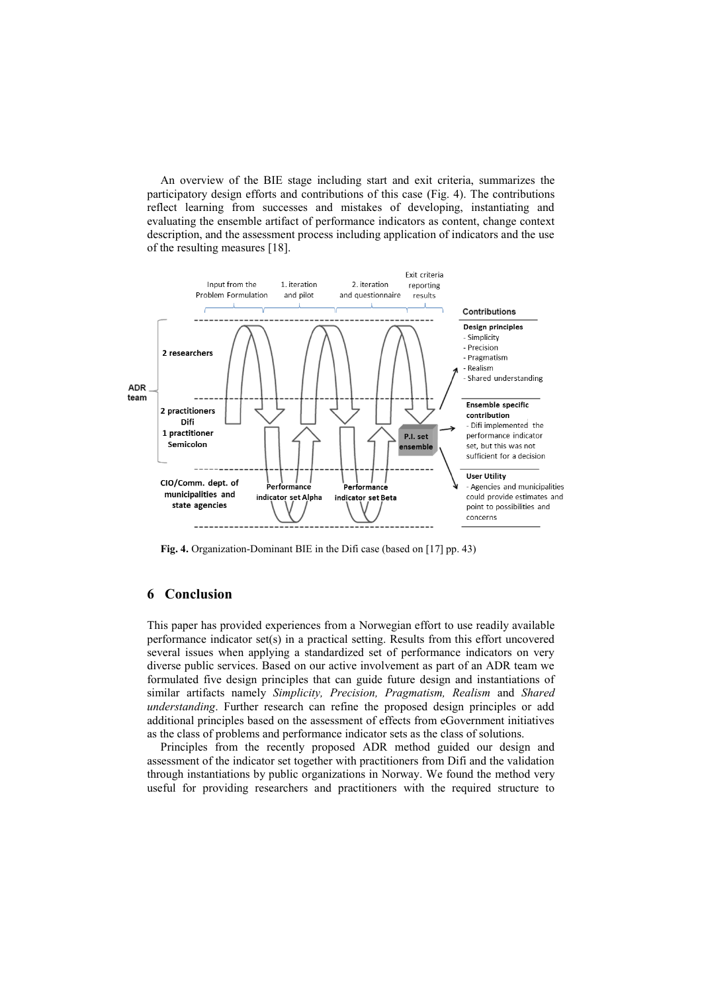An overview of the BIE stage including start and exit criteria, summarizes the participatory design efforts and contributions of this case (Fig. 4). The contributions reflect learning from successes and mistakes of developing, instantiating and evaluating the ensemble artifact of performance indicators as content, change context description, and the assessment process including application of indicators and the use of the resulting measures [\[18\]](#page-13-5).



**Fig. 4.** Organization-Dominant BIE in the Difi case (based on [\[17\]](#page-13-4) pp. 43)

### **6 Conclusion**

This paper has provided experiences from a Norwegian effort to use readily available performance indicator set(s) in a practical setting. Results from this effort uncovered several issues when applying a standardized set of performance indicators on very diverse public services. Based on our active involvement as part of an ADR team we formulated five design principles that can guide future design and instantiations of similar artifacts namely *Simplicity, Precision, Pragmatism, Realism* and *Shared understanding*. Further research can refine the proposed design principles or add additional principles based on the assessment of effects from eGovernment initiatives as the class of problems and performance indicator sets as the class of solutions.

Principles from the recently proposed ADR method guided our design and assessment of the indicator set together with practitioners from Difi and the validation through instantiations by public organizations in Norway. We found the method very useful for providing researchers and practitioners with the required structure to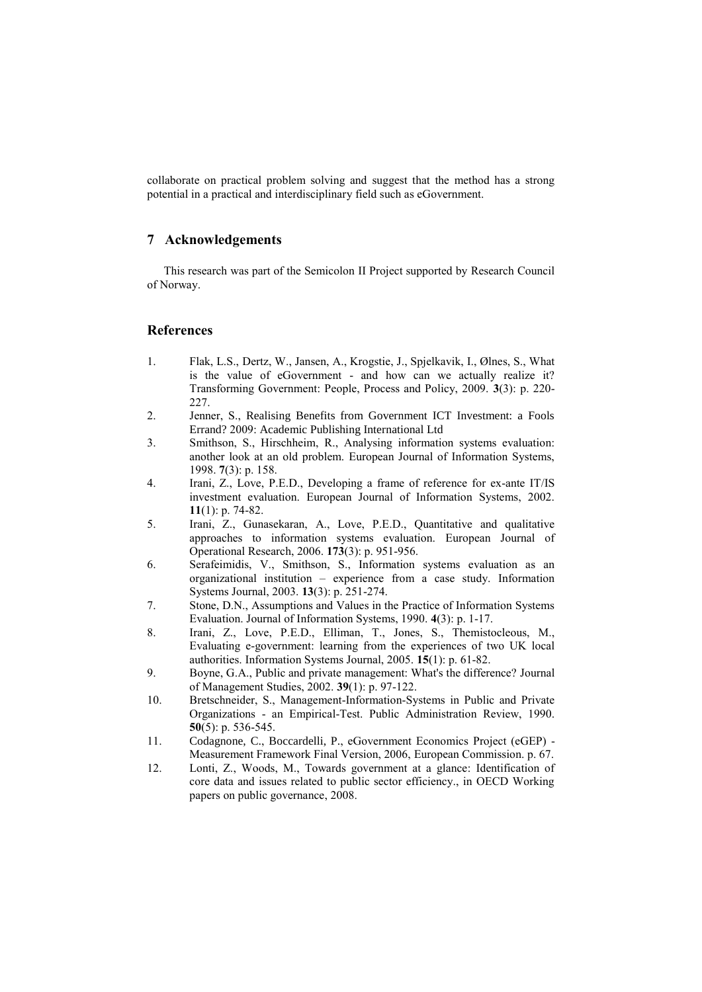collaborate on practical problem solving and suggest that the method has a strong potential in a practical and interdisciplinary field such as eGovernment.

# **7 Acknowledgements**

This research was part of the Semicolon II Project supported by Research Council of Norway.

# **References**

- <span id="page-12-0"></span>1. Flak, L.S., Dertz, W., Jansen, A., Krogstie, J., Spjelkavik, I., Ølnes, S., What is the value of eGovernment - and how can we actually realize it? Transforming Government: People, Process and Policy, 2009. **3**(3): p. 220- 227.
- <span id="page-12-1"></span>2. Jenner, S., Realising Benefits from Government ICT Investment: a Fools Errand? 2009: Academic Publishing International Ltd
- <span id="page-12-2"></span>3. Smithson, S., Hirschheim, R., Analysing information systems evaluation: another look at an old problem. European Journal of Information Systems, 1998. **7**(3): p. 158.
- 4. Irani, Z., Love, P.E.D., Developing a frame of reference for ex-ante IT/IS investment evaluation. European Journal of Information Systems, 2002. **11**(1): p. 74-82.
- 5. Irani, Z., Gunasekaran, A., Love, P.E.D., Quantitative and qualitative approaches to information systems evaluation. European Journal of Operational Research, 2006. **173**(3): p. 951-956.
- <span id="page-12-3"></span>6. Serafeimidis, V., Smithson, S., Information systems evaluation as an organizational institution – experience from a case study. Information Systems Journal, 2003. **13**(3): p. 251-274.
- 7. Stone, D.N., Assumptions and Values in the Practice of Information Systems Evaluation. Journal of Information Systems, 1990. **4**(3): p. 1-17.
- <span id="page-12-4"></span>8. Irani, Z., Love, P.E.D., Elliman, T., Jones, S., Themistocleous, M., Evaluating e-government: learning from the experiences of two UK local authorities. Information Systems Journal, 2005. **15**(1): p. 61-82.
- <span id="page-12-5"></span>9. Boyne, G.A., Public and private management: What's the difference? Journal of Management Studies, 2002. **39**(1): p. 97-122.
- <span id="page-12-6"></span>10. Bretschneider, S., Management-Information-Systems in Public and Private Organizations - an Empirical-Test. Public Administration Review, 1990. **50**(5): p. 536-545.
- <span id="page-12-7"></span>11. Codagnone, C., Boccardelli, P., eGovernment Economics Project (eGEP) - Measurement Framework Final Version, 2006, European Commission. p. 67.
- <span id="page-12-8"></span>12. Lonti, Z., Woods, M., Towards government at a glance: Identification of core data and issues related to public sector efficiency., in OECD Working papers on public governance, 2008.